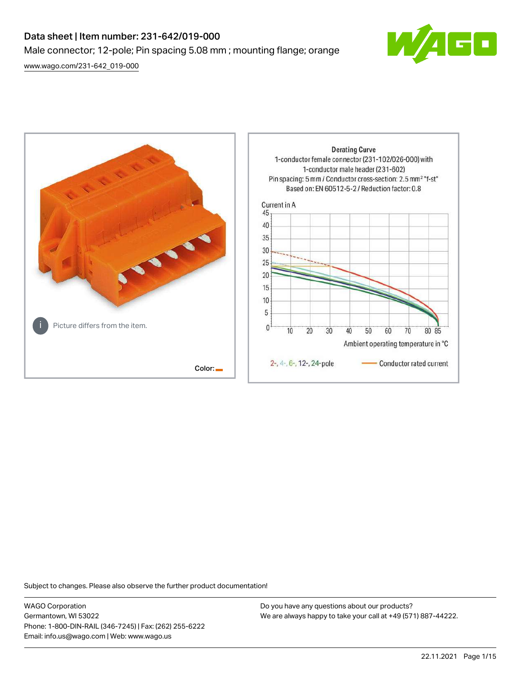# Data sheet | Item number: 231-642/019-000 Male connector; 12-pole; Pin spacing 5.08 mm ; mounting flange; orange

[www.wago.com/231-642\\_019-000](http://www.wago.com/231-642_019-000)





Subject to changes. Please also observe the further product documentation!

WAGO Corporation Germantown, WI 53022 Phone: 1-800-DIN-RAIL (346-7245) | Fax: (262) 255-6222 Email: info.us@wago.com | Web: www.wago.us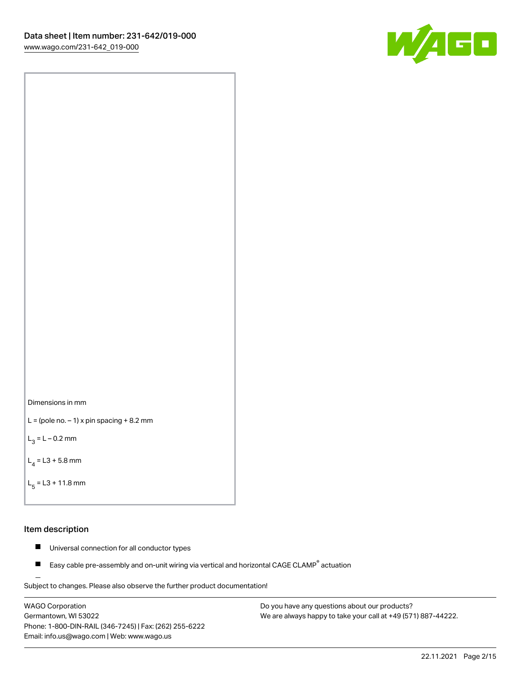



```
L = (pole no. -1) x pin spacing +8.2 mm
```
 $L_3 = L - 0.2$  mm

```
L_4 = L3 + 5.8 mm
```

```
L_{\rm g} = L3 + 11.8 mm
```
#### Item description

- $\blacksquare$ Universal connection for all conductor types
- Easy cable pre-assembly and on-unit wiring via vertical and horizontal CAGE CLAMP<sup>®</sup> actuation  $\blacksquare$

Subject to changes. Please also observe the further product documentation! For wire-to-wire and board-to-wire connections

WAGO Corporation Germantown, WI 53022 Phone: 1-800-DIN-RAIL (346-7245) | Fax: (262) 255-6222 Email: info.us@wago.com | Web: www.wago.us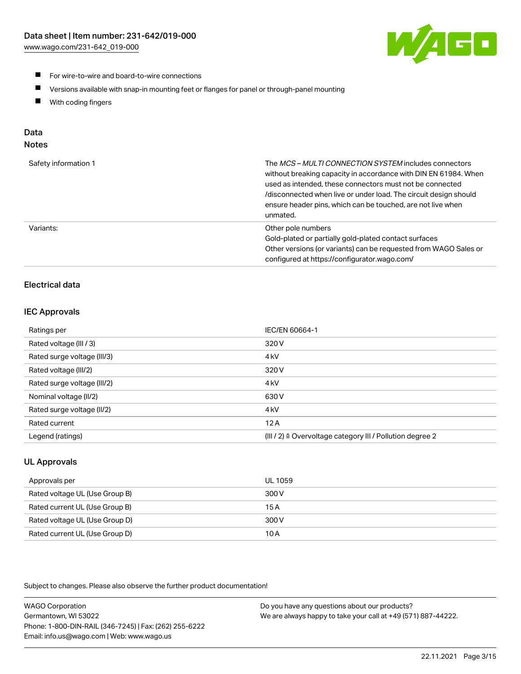

- For wire-to-wire and board-to-wire connections
- $\blacksquare$ Versions available with snap-in mounting feet or flanges for panel or through-panel mounting
- $\blacksquare$ With coding fingers

# Data

# Notes

| Safety information 1 | The MCS-MULTI CONNECTION SYSTEM includes connectors<br>without breaking capacity in accordance with DIN EN 61984. When<br>used as intended, these connectors must not be connected<br>/disconnected when live or under load. The circuit design should<br>ensure header pins, which can be touched, are not live when<br>unmated. |
|----------------------|-----------------------------------------------------------------------------------------------------------------------------------------------------------------------------------------------------------------------------------------------------------------------------------------------------------------------------------|
| Variants:            | Other pole numbers<br>Gold-plated or partially gold-plated contact surfaces<br>Other versions (or variants) can be requested from WAGO Sales or<br>configured at https://configurator.wago.com/                                                                                                                                   |

# Electrical data

# IEC Approvals

| Ratings per                 | IEC/EN 60664-1                                                        |
|-----------------------------|-----------------------------------------------------------------------|
| Rated voltage (III / 3)     | 320 V                                                                 |
| Rated surge voltage (III/3) | 4 <sub>k</sub> V                                                      |
| Rated voltage (III/2)       | 320 V                                                                 |
| Rated surge voltage (III/2) | 4 <sub>k</sub> V                                                      |
| Nominal voltage (II/2)      | 630 V                                                                 |
| Rated surge voltage (II/2)  | 4 <sub>k</sub> V                                                      |
| Rated current               | 12A                                                                   |
| Legend (ratings)            | $(III / 2)$ $\triangle$ Overvoltage category III / Pollution degree 2 |

# UL Approvals

| Approvals per                  | UL 1059 |
|--------------------------------|---------|
| Rated voltage UL (Use Group B) | 300 V   |
| Rated current UL (Use Group B) | 15 A    |
| Rated voltage UL (Use Group D) | 300 V   |
| Rated current UL (Use Group D) | 10 A    |

Subject to changes. Please also observe the further product documentation!

| <b>WAGO Corporation</b>                                | Do you have any questions about our products?                 |
|--------------------------------------------------------|---------------------------------------------------------------|
| Germantown, WI 53022                                   | We are always happy to take your call at +49 (571) 887-44222. |
| Phone: 1-800-DIN-RAIL (346-7245)   Fax: (262) 255-6222 |                                                               |
| Email: info.us@wago.com   Web: www.wago.us             |                                                               |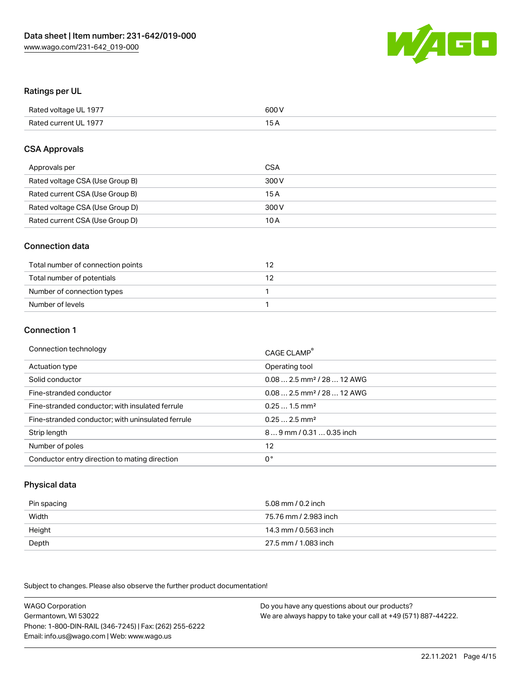

#### Ratings per UL

| Rated voltage UL 1977 | 600 V |
|-----------------------|-------|
| Rated current UL 1977 | 1 E   |

#### CSA Approvals

| Approvals per                   | CSA   |
|---------------------------------|-------|
| Rated voltage CSA (Use Group B) | 300 V |
| Rated current CSA (Use Group B) | 15 A  |
| Rated voltage CSA (Use Group D) | 300 V |
| Rated current CSA (Use Group D) | 10 A  |

#### Connection data

| Total number of connection points |  |
|-----------------------------------|--|
| Total number of potentials        |  |
| Number of connection types        |  |
| Number of levels                  |  |

#### Connection 1

| Connection technology                             | CAGE CLAMP <sup>®</sup>                 |
|---------------------------------------------------|-----------------------------------------|
| Actuation type                                    | Operating tool                          |
| Solid conductor                                   | $0.082.5$ mm <sup>2</sup> / 28  12 AWG  |
| Fine-stranded conductor                           | $0.08$ 2.5 mm <sup>2</sup> / 28  12 AWG |
| Fine-stranded conductor; with insulated ferrule   | $0.251.5$ mm <sup>2</sup>               |
| Fine-stranded conductor; with uninsulated ferrule | $0.252.5$ mm <sup>2</sup>               |
| Strip length                                      | 89 mm / 0.31  0.35 inch                 |
| Number of poles                                   | 12                                      |
| Conductor entry direction to mating direction     | 0°                                      |

# Physical data

| Pin spacing | 5.08 mm / 0.2 inch    |
|-------------|-----------------------|
| Width       | 75.76 mm / 2.983 inch |
| Height      | 14.3 mm / 0.563 inch  |
| Depth       | 27.5 mm / 1.083 inch  |

Subject to changes. Please also observe the further product documentation!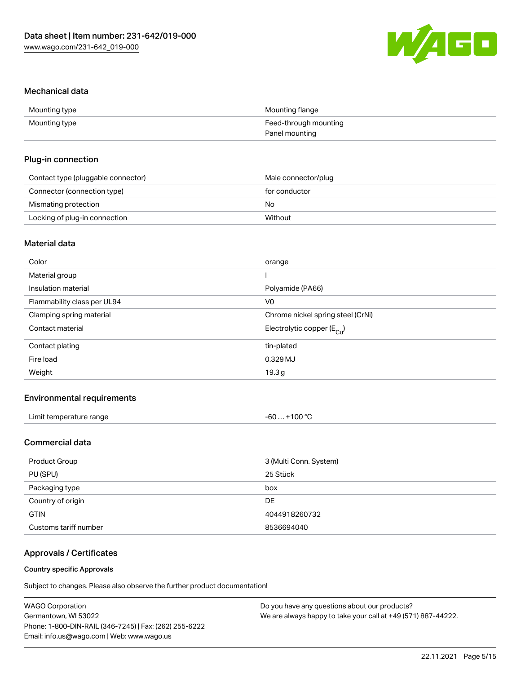

#### Mechanical data

| Mounting type | Mounting flange       |
|---------------|-----------------------|
| Mounting type | Feed-through mounting |
|               | Panel mounting        |

### Plug-in connection

| Contact type (pluggable connector) | Male connector/plug |
|------------------------------------|---------------------|
| Connector (connection type)        | for conductor       |
| Mismating protection               | No                  |
| Locking of plug-in connection      | Without             |

# Material data

| Color                       | orange                                |
|-----------------------------|---------------------------------------|
| Material group              |                                       |
| Insulation material         | Polyamide (PA66)                      |
| Flammability class per UL94 | V <sub>0</sub>                        |
| Clamping spring material    | Chrome nickel spring steel (CrNi)     |
| Contact material            | Electrolytic copper $(E_{\text{Cl}})$ |
| Contact plating             | tin-plated                            |
| Fire load                   | 0.329 MJ                              |
| Weight                      | 19.3 <sub>g</sub>                     |
|                             |                                       |

# Environmental requirements

| Limit temperature range<br>. | +100 $^{\circ}$ C<br>-60… |  |
|------------------------------|---------------------------|--|
|------------------------------|---------------------------|--|

# Commercial data

| Product Group         | 3 (Multi Conn. System) |
|-----------------------|------------------------|
| PU (SPU)              | 25 Stück               |
| Packaging type        | box                    |
| Country of origin     | DE.                    |
| <b>GTIN</b>           | 4044918260732          |
| Customs tariff number | 8536694040             |

# Approvals / Certificates

#### Country specific Approvals

Subject to changes. Please also observe the further product documentation!

| WAGO Corporation                                       | Do you have any questions about our products?                 |
|--------------------------------------------------------|---------------------------------------------------------------|
| Germantown, WI 53022                                   | We are always happy to take your call at +49 (571) 887-44222. |
| Phone: 1-800-DIN-RAIL (346-7245)   Fax: (262) 255-6222 |                                                               |
| Email: info.us@wago.com   Web: www.wago.us             |                                                               |
|                                                        |                                                               |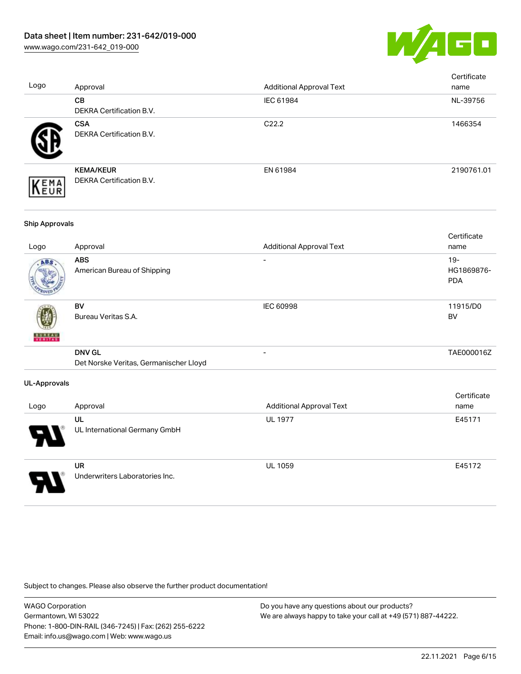

| Logo                  | Approval                                                | <b>Additional Approval Text</b> | Certificate<br>name                |
|-----------------------|---------------------------------------------------------|---------------------------------|------------------------------------|
|                       | CB<br>DEKRA Certification B.V.                          | IEC 61984                       | NL-39756                           |
|                       | <b>CSA</b><br>DEKRA Certification B.V.                  | C22.2                           | 1466354                            |
| EMA<br>EUR            | <b>KEMA/KEUR</b><br>DEKRA Certification B.V.            | EN 61984                        | 2190761.01                         |
| <b>Ship Approvals</b> |                                                         |                                 |                                    |
| Logo                  | Approval                                                | <b>Additional Approval Text</b> | Certificate<br>name                |
|                       | <b>ABS</b><br>American Bureau of Shipping               |                                 | $19 -$<br>HG1869876-<br><b>PDA</b> |
|                       | <b>BV</b><br>Bureau Veritas S.A.                        | <b>IEC 60998</b>                | 11915/D0<br><b>BV</b>              |
|                       | <b>DNV GL</b><br>Det Norske Veritas, Germanischer Lloyd | $\overline{a}$                  | TAE000016Z                         |
| <b>UL-Approvals</b>   |                                                         |                                 |                                    |
| Logo                  | Approval                                                | <b>Additional Approval Text</b> | Certificate<br>name                |
|                       | UL<br>UL International Germany GmbH                     | <b>UL 1977</b>                  | E45171                             |
|                       | <b>UR</b><br>Underwriters Laboratories Inc.             | UL 1059                         | E45172                             |

Subject to changes. Please also observe the further product documentation!

WAGO Corporation Germantown, WI 53022 Phone: 1-800-DIN-RAIL (346-7245) | Fax: (262) 255-6222 Email: info.us@wago.com | Web: www.wago.us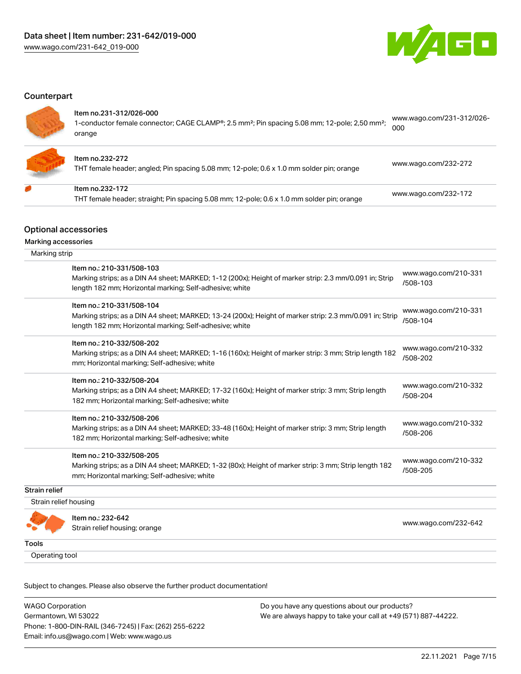

 $1004.231000$ 

#### **Counterpart**

#### Item no.231-312/026-000

| 1-conductor female connector; CAGE CLAMP®; 2.5 mm <sup>2</sup> ; Pin spacing 5.08 mm; 12-pole; 2,50 mm <sup>2</sup> ; | -WWW.Wago.com/231-312/026 |
|-----------------------------------------------------------------------------------------------------------------------|---------------------------|
|                                                                                                                       |                           |
| orange                                                                                                                |                           |



#### Item no.232-272

THT female header; angled; Pin spacing 5.08 mm; 12-pole; 0.6 x 1.0 mm solder pin; orange [www.wago.com/232-272](https://www.wago.com/232-272)

# Item no.232-172 THT female header; straight; Pin spacing 5.08 mm; 12-pole; 0.6 x 1.0 mm solder pin; orange [www.wago.com/232-172](https://www.wago.com/232-172)

## Optional accessories

Marking accessories

| Marking strip         |                                                                                                                                                                                                 |                                  |
|-----------------------|-------------------------------------------------------------------------------------------------------------------------------------------------------------------------------------------------|----------------------------------|
|                       | Item no.: 210-331/508-103<br>Marking strips; as a DIN A4 sheet; MARKED; 1-12 (200x); Height of marker strip: 2.3 mm/0.091 in; Strip<br>length 182 mm; Horizontal marking; Self-adhesive; white  | www.wago.com/210-331<br>/508-103 |
|                       | Item no.: 210-331/508-104<br>Marking strips; as a DIN A4 sheet; MARKED; 13-24 (200x); Height of marker strip: 2.3 mm/0.091 in; Strip<br>length 182 mm; Horizontal marking; Self-adhesive; white | www.wago.com/210-331<br>/508-104 |
|                       | Item no.: 210-332/508-202<br>Marking strips; as a DIN A4 sheet; MARKED; 1-16 (160x); Height of marker strip: 3 mm; Strip length 182<br>mm; Horizontal marking; Self-adhesive; white             | www.wago.com/210-332<br>/508-202 |
|                       | Item no.: 210-332/508-204<br>Marking strips; as a DIN A4 sheet; MARKED; 17-32 (160x); Height of marker strip: 3 mm; Strip length<br>182 mm; Horizontal marking; Self-adhesive; white            | www.wago.com/210-332<br>/508-204 |
|                       | Item no.: 210-332/508-206<br>Marking strips; as a DIN A4 sheet; MARKED; 33-48 (160x); Height of marker strip: 3 mm; Strip length<br>182 mm; Horizontal marking; Self-adhesive; white            | www.wago.com/210-332<br>/508-206 |
|                       | Item no.: 210-332/508-205<br>Marking strips; as a DIN A4 sheet; MARKED; 1-32 (80x); Height of marker strip: 3 mm; Strip length 182<br>mm; Horizontal marking; Self-adhesive; white              | www.wago.com/210-332<br>/508-205 |
| <b>Strain relief</b>  |                                                                                                                                                                                                 |                                  |
| Strain relief housing |                                                                                                                                                                                                 |                                  |
|                       | Item no.: 232-642<br>Strain relief housing; orange                                                                                                                                              | www.wago.com/232-642             |
| Tools                 |                                                                                                                                                                                                 |                                  |
| Operating tool        |                                                                                                                                                                                                 |                                  |

Subject to changes. Please also observe the further product documentation!

WAGO Corporation Germantown, WI 53022 Phone: 1-800-DIN-RAIL (346-7245) | Fax: (262) 255-6222 Email: info.us@wago.com | Web: www.wago.us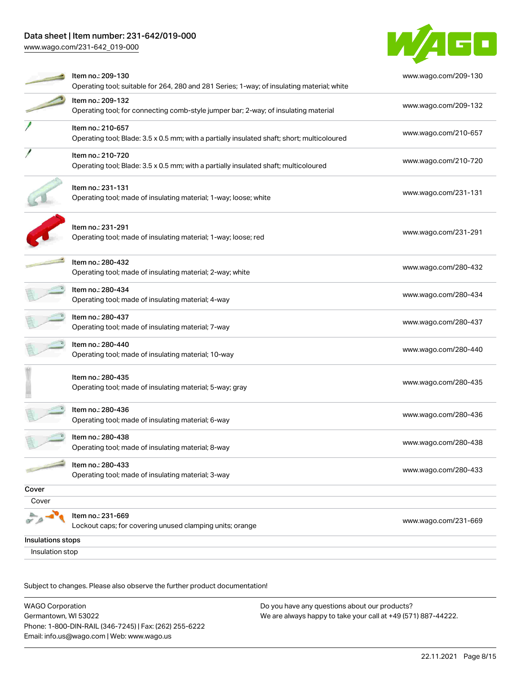[www.wago.com/231-642\\_019-000](http://www.wago.com/231-642_019-000)



|                   | Item no.: 209-130<br>Operating tool; suitable for 264, 280 and 281 Series; 1-way; of insulating material; white  | www.wago.com/209-130 |
|-------------------|------------------------------------------------------------------------------------------------------------------|----------------------|
|                   | Item no.: 209-132<br>Operating tool; for connecting comb-style jumper bar; 2-way; of insulating material         | www.wago.com/209-132 |
|                   | Item no.: 210-657<br>Operating tool; Blade: 3.5 x 0.5 mm; with a partially insulated shaft; short; multicoloured | www.wago.com/210-657 |
|                   | Item no.: 210-720<br>Operating tool; Blade: 3.5 x 0.5 mm; with a partially insulated shaft; multicoloured        | www.wago.com/210-720 |
|                   | Item no.: 231-131<br>Operating tool; made of insulating material; 1-way; loose; white                            | www.wago.com/231-131 |
|                   | Item no.: 231-291<br>Operating tool; made of insulating material; 1-way; loose; red                              | www.wago.com/231-291 |
|                   | Item no.: 280-432<br>Operating tool; made of insulating material; 2-way; white                                   | www.wago.com/280-432 |
|                   | Item no.: 280-434<br>Operating tool; made of insulating material; 4-way                                          | www.wago.com/280-434 |
|                   | Item no.: 280-437<br>Operating tool; made of insulating material; 7-way                                          | www.wago.com/280-437 |
|                   | Item no.: 280-440<br>Operating tool; made of insulating material; 10-way                                         | www.wago.com/280-440 |
|                   | Item no.: 280-435<br>Operating tool; made of insulating material; 5-way; gray                                    | www.wago.com/280-435 |
|                   | Item no.: 280-436<br>Operating tool; made of insulating material; 6-way                                          | www.wago.com/280-436 |
|                   | Item no.: 280-438<br>Operating tool; made of insulating material; 8-way                                          | www.wago.com/280-438 |
|                   | Item no.: 280-433<br>Operating tool; made of insulating material; 3-way                                          | www.wago.com/280-433 |
| Cover             |                                                                                                                  |                      |
| Cover             |                                                                                                                  |                      |
|                   | Item no.: 231-669<br>Lockout caps; for covering unused clamping units; orange                                    | www.wago.com/231-669 |
| Insulations stops |                                                                                                                  |                      |
| Insulation stop   |                                                                                                                  |                      |

Subject to changes. Please also observe the further product documentation!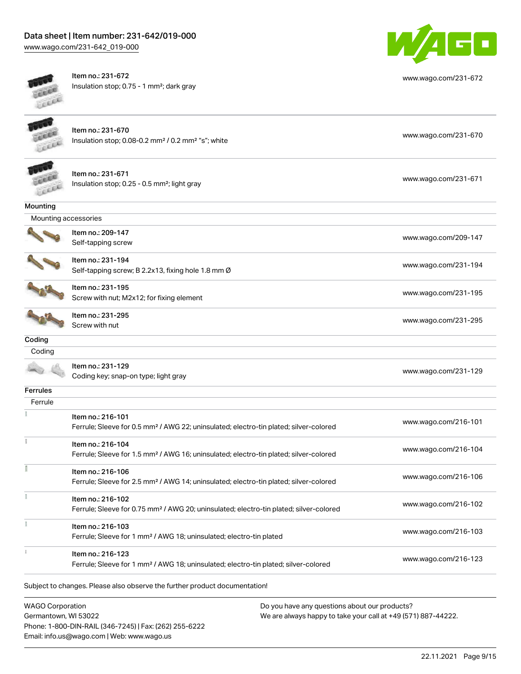Item no.: 231-670

[www.wago.com/231-642\\_019-000](http://www.wago.com/231-642_019-000)



Item no.: 231-672 Insulation stop; 0.75 - 1 mm²; dark gray



[www.wago.com/231-672](http://www.wago.com/231-672)

LEEEE

 $\rightarrow$ 

Item no.: 231-671 Insulation stop; 0.25 - 0.5 mm²; light gray [www.wago.com/231-671](http://www.wago.com/231-671)

| Mounting             |                                                                                                    |                      |
|----------------------|----------------------------------------------------------------------------------------------------|----------------------|
| Mounting accessories |                                                                                                    |                      |
|                      | Item no.: 209-147                                                                                  |                      |
|                      | Self-tapping screw                                                                                 | www.wago.com/209-147 |
|                      | Item no.: 231-194                                                                                  |                      |
|                      | Self-tapping screw; B 2.2x13, fixing hole 1.8 mm Ø                                                 | www.wago.com/231-194 |
|                      | Item no.: 231-195                                                                                  |                      |
|                      | Screw with nut; M2x12; for fixing element                                                          | www.wago.com/231-195 |
|                      | Item no.: 231-295                                                                                  | www.wago.com/231-295 |
|                      | Screw with nut                                                                                     |                      |
| Coding               |                                                                                                    |                      |
| Coding               |                                                                                                    |                      |
|                      | Item no.: 231-129                                                                                  |                      |
|                      | Coding key; snap-on type; light gray                                                               | www.wago.com/231-129 |
| Ferrules             |                                                                                                    |                      |
| Ferrule              |                                                                                                    |                      |
|                      | Item no.: 216-101                                                                                  | www.wago.com/216-101 |
|                      | Ferrule; Sleeve for 0.5 mm <sup>2</sup> / AWG 22; uninsulated; electro-tin plated; silver-colored  |                      |
|                      | Item no.: 216-104                                                                                  |                      |
|                      | Ferrule; Sleeve for 1.5 mm <sup>2</sup> / AWG 16; uninsulated; electro-tin plated; silver-colored  | www.wago.com/216-104 |
|                      | Item no.: 216-106                                                                                  |                      |
|                      | Ferrule; Sleeve for 2.5 mm <sup>2</sup> / AWG 14; uninsulated; electro-tin plated; silver-colored  | www.wago.com/216-106 |
| ł                    | Item no.: 216-102                                                                                  |                      |
|                      | Ferrule; Sleeve for 0.75 mm <sup>2</sup> / AWG 20; uninsulated; electro-tin plated; silver-colored | www.wago.com/216-102 |
| ł                    | Item no.: 216-103                                                                                  |                      |
|                      | Ferrule; Sleeve for 1 mm <sup>2</sup> / AWG 18; uninsulated; electro-tin plated                    | www.wago.com/216-103 |
| $\frac{1}{3}$        | Item no.: 216-123                                                                                  |                      |
|                      | Ferrule; Sleeve for 1 mm <sup>2</sup> / AWG 18; uninsulated; electro-tin plated; silver-colored    | www.wago.com/216-123 |

Insulation stop; 0.08-0.2 mm² / 0.2 mm² "s"; white [www.wago.com/231-670](http://www.wago.com/231-670) www.wago.com/231-670

Subject to changes. Please also observe the further product documentation!

WAGO Corporation Germantown, WI 53022 Phone: 1-800-DIN-RAIL (346-7245) | Fax: (262) 255-6222 Email: info.us@wago.com | Web: www.wago.us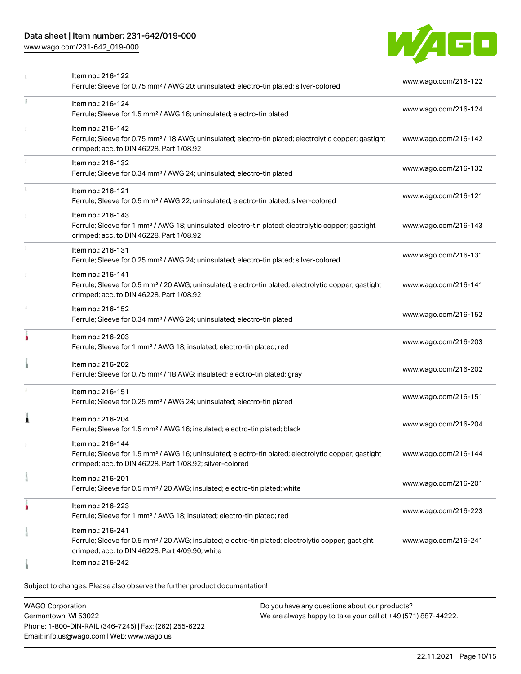[www.wago.com/231-642\\_019-000](http://www.wago.com/231-642_019-000)



|    | Item no.: 216-122                                                                                                                                                            |                      |
|----|------------------------------------------------------------------------------------------------------------------------------------------------------------------------------|----------------------|
|    | Ferrule; Sleeve for 0.75 mm <sup>2</sup> / AWG 20; uninsulated; electro-tin plated; silver-colored                                                                           | www.wago.com/216-122 |
| I. | Item no.: 216-124                                                                                                                                                            | www.wago.com/216-124 |
|    | Ferrule; Sleeve for 1.5 mm <sup>2</sup> / AWG 16; uninsulated; electro-tin plated                                                                                            |                      |
|    | Item no.: 216-142                                                                                                                                                            |                      |
|    | Ferrule; Sleeve for 0.75 mm <sup>2</sup> / 18 AWG; uninsulated; electro-tin plated; electrolytic copper; gastight<br>crimped; acc. to DIN 46228, Part 1/08.92                | www.wago.com/216-142 |
| I. | Item no.: 216-132                                                                                                                                                            |                      |
|    | Ferrule; Sleeve for 0.34 mm <sup>2</sup> / AWG 24; uninsulated; electro-tin plated                                                                                           | www.wago.com/216-132 |
| î. | Item no.: 216-121                                                                                                                                                            |                      |
|    | Ferrule; Sleeve for 0.5 mm <sup>2</sup> / AWG 22; uninsulated; electro-tin plated; silver-colored                                                                            | www.wago.com/216-121 |
|    | Item no.: 216-143                                                                                                                                                            |                      |
|    | Ferrule; Sleeve for 1 mm <sup>2</sup> / AWG 18; uninsulated; electro-tin plated; electrolytic copper; gastight<br>crimped; acc. to DIN 46228, Part 1/08.92                   | www.wago.com/216-143 |
|    | Item no.: 216-131                                                                                                                                                            | www.wago.com/216-131 |
|    | Ferrule; Sleeve for 0.25 mm <sup>2</sup> / AWG 24; uninsulated; electro-tin plated; silver-colored                                                                           |                      |
|    | Item no.: 216-141                                                                                                                                                            |                      |
|    | Ferrule; Sleeve for 0.5 mm <sup>2</sup> / 20 AWG; uninsulated; electro-tin plated; electrolytic copper; gastight<br>crimped; acc. to DIN 46228, Part 1/08.92                 | www.wago.com/216-141 |
| ı. | Item no.: 216-152                                                                                                                                                            |                      |
|    | Ferrule; Sleeve for 0.34 mm <sup>2</sup> / AWG 24; uninsulated; electro-tin plated                                                                                           | www.wago.com/216-152 |
| ۸  | Item no.: 216-203                                                                                                                                                            |                      |
|    | Ferrule; Sleeve for 1 mm <sup>2</sup> / AWG 18; insulated; electro-tin plated; red                                                                                           | www.wago.com/216-203 |
|    | Item no.: 216-202                                                                                                                                                            | www.wago.com/216-202 |
|    | Ferrule; Sleeve for 0.75 mm <sup>2</sup> / 18 AWG; insulated; electro-tin plated; gray                                                                                       |                      |
| ı  | Item no.: 216-151                                                                                                                                                            | www.wago.com/216-151 |
|    | Ferrule; Sleeve for 0.25 mm <sup>2</sup> / AWG 24; uninsulated; electro-tin plated                                                                                           |                      |
| Â  | Item no.: 216-204                                                                                                                                                            | www.wago.com/216-204 |
|    | Ferrule; Sleeve for 1.5 mm <sup>2</sup> / AWG 16; insulated; electro-tin plated; black                                                                                       |                      |
|    | Item no.: 216-144                                                                                                                                                            |                      |
|    | Ferrule; Sleeve for 1.5 mm <sup>2</sup> / AWG 16; uninsulated; electro-tin plated; electrolytic copper; gastight<br>crimped; acc. to DIN 46228, Part 1/08.92; silver-colored | www.wago.com/216-144 |
|    | Item no.: 216-201                                                                                                                                                            |                      |
|    | Ferrule; Sleeve for 0.5 mm <sup>2</sup> / 20 AWG; insulated; electro-tin plated; white                                                                                       | www.wago.com/216-201 |
|    | Item no.: 216-223                                                                                                                                                            |                      |
|    | Ferrule; Sleeve for 1 mm <sup>2</sup> / AWG 18; insulated; electro-tin plated; red                                                                                           | www.wago.com/216-223 |
|    | Item no.: 216-241                                                                                                                                                            |                      |
|    | Ferrule; Sleeve for 0.5 mm <sup>2</sup> / 20 AWG; insulated; electro-tin plated; electrolytic copper; gastight<br>crimped; acc. to DIN 46228, Part 4/09.90; white            | www.wago.com/216-241 |
|    | Item no.: 216-242                                                                                                                                                            |                      |

Subject to changes. Please also observe the further product documentation!

WAGO Corporation Germantown, WI 53022 Phone: 1-800-DIN-RAIL (346-7245) | Fax: (262) 255-6222 Email: info.us@wago.com | Web: www.wago.us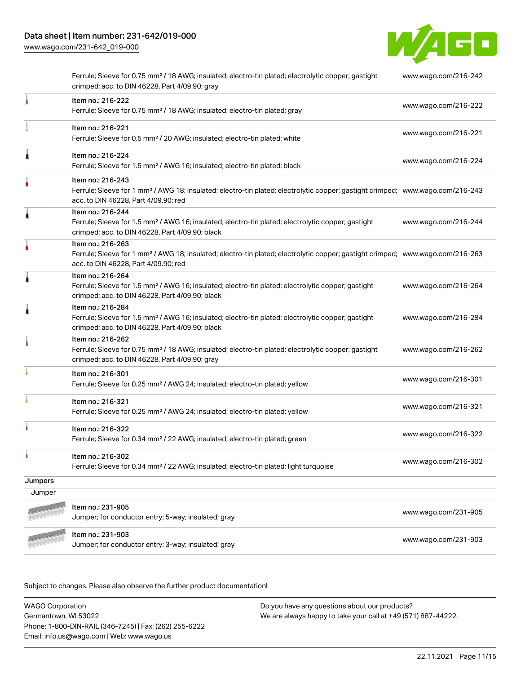[www.wago.com/231-642\\_019-000](http://www.wago.com/231-642_019-000)



|         | Ferrule; Sleeve for 0.75 mm <sup>2</sup> / 18 AWG; insulated; electro-tin plated; electrolytic copper; gastight<br>crimped; acc. to DIN 46228, Part 4/09.90; gray                                       | www.wago.com/216-242 |
|---------|---------------------------------------------------------------------------------------------------------------------------------------------------------------------------------------------------------|----------------------|
|         | Item no.: 216-222<br>Ferrule; Sleeve for 0.75 mm <sup>2</sup> / 18 AWG; insulated; electro-tin plated; gray                                                                                             | www.wago.com/216-222 |
|         | Item no.: 216-221<br>Ferrule; Sleeve for 0.5 mm <sup>2</sup> / 20 AWG; insulated; electro-tin plated; white                                                                                             | www.wago.com/216-221 |
| Â       | Item no.: 216-224<br>Ferrule; Sleeve for 1.5 mm <sup>2</sup> / AWG 16; insulated; electro-tin plated; black                                                                                             | www.wago.com/216-224 |
|         | Item no.: 216-243<br>Ferrule; Sleeve for 1 mm <sup>2</sup> / AWG 18; insulated; electro-tin plated; electrolytic copper; gastight crimped; www.wago.com/216-243<br>acc. to DIN 46228, Part 4/09.90; red |                      |
| À       | Item no.: 216-244<br>Ferrule; Sleeve for 1.5 mm <sup>2</sup> / AWG 16; insulated; electro-tin plated; electrolytic copper; gastight<br>crimped; acc. to DIN 46228, Part 4/09.90; black                  | www.wago.com/216-244 |
|         | Item no.: 216-263<br>Ferrule; Sleeve for 1 mm <sup>2</sup> / AWG 18; insulated; electro-tin plated; electrolytic copper; gastight crimped; www.wago.com/216-263<br>acc. to DIN 46228, Part 4/09.90; red |                      |
| Â       | Item no.: 216-264<br>Ferrule; Sleeve for 1.5 mm <sup>2</sup> / AWG 16; insulated; electro-tin plated; electrolytic copper; gastight<br>crimped; acc. to DIN 46228, Part 4/09.90; black                  | www.wago.com/216-264 |
| Â       | Item no.: 216-284<br>Ferrule; Sleeve for 1.5 mm <sup>2</sup> / AWG 16; insulated; electro-tin plated; electrolytic copper; gastight<br>crimped; acc. to DIN 46228, Part 4/09.90; black                  | www.wago.com/216-284 |
|         | Item no.: 216-262<br>Ferrule; Sleeve for 0.75 mm <sup>2</sup> / 18 AWG; insulated; electro-tin plated; electrolytic copper; gastight<br>crimped; acc. to DIN 46228, Part 4/09.90; gray                  | www.wago.com/216-262 |
|         | Item no.: 216-301<br>Ferrule; Sleeve for 0.25 mm <sup>2</sup> / AWG 24; insulated; electro-tin plated; yellow                                                                                           | www.wago.com/216-301 |
|         | Item no.: 216-321<br>Ferrule; Sleeve for 0.25 mm <sup>2</sup> / AWG 24; insulated; electro-tin plated; yellow                                                                                           | www.wago.com/216-321 |
| ł       | Item no.: 216-322<br>Ferrule; Sleeve for 0.34 mm <sup>2</sup> / 22 AWG; insulated; electro-tin plated; green                                                                                            | www.wago.com/216-322 |
| à.      | Item no.: 216-302<br>Ferrule; Sleeve for 0.34 mm <sup>2</sup> / 22 AWG; insulated; electro-tin plated; light turquoise                                                                                  | www.wago.com/216-302 |
| Jumpers |                                                                                                                                                                                                         |                      |
| Jumper  |                                                                                                                                                                                                         |                      |
|         | Item no.: 231-905<br>Jumper; for conductor entry; 5-way; insulated; gray                                                                                                                                | www.wago.com/231-905 |
|         | Item no.: 231-903<br>Jumper; for conductor entry; 3-way; insulated; gray                                                                                                                                | www.wago.com/231-903 |
|         |                                                                                                                                                                                                         |                      |

Subject to changes. Please also observe the further product documentation!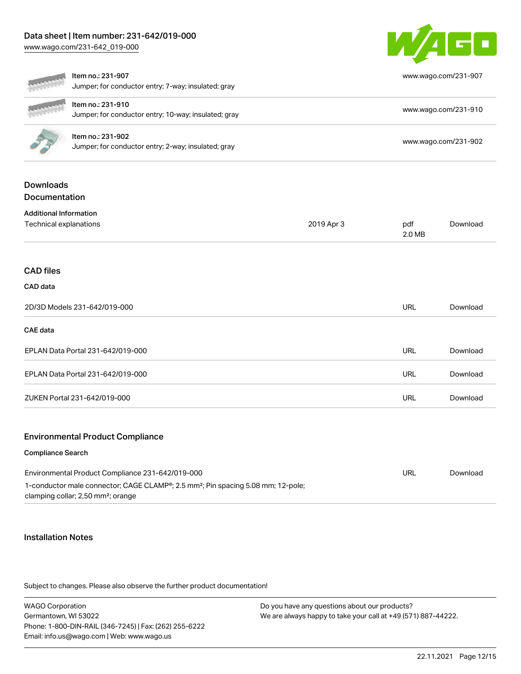[www.wago.com/231-642\\_019-000](http://www.wago.com/231-642_019-000)



|                                                                                                                                                                                                    | Item no.: 231-907<br>Jumper; for conductor entry; 7-way; insulated; gray  |            | www.wago.com/231-907 |          |
|----------------------------------------------------------------------------------------------------------------------------------------------------------------------------------------------------|---------------------------------------------------------------------------|------------|----------------------|----------|
|                                                                                                                                                                                                    | Item no.: 231-910<br>Jumper; for conductor entry; 10-way; insulated; gray |            | www.wago.com/231-910 |          |
|                                                                                                                                                                                                    | Item no.: 231-902<br>Jumper; for conductor entry; 2-way; insulated; gray  |            | www.wago.com/231-902 |          |
| <b>Downloads</b><br>Documentation                                                                                                                                                                  |                                                                           |            |                      |          |
| <b>Additional Information</b><br>Technical explanations                                                                                                                                            |                                                                           | 2019 Apr 3 | pdf<br>2.0 MB        | Download |
| <b>CAD files</b>                                                                                                                                                                                   |                                                                           |            |                      |          |
| CAD data                                                                                                                                                                                           |                                                                           |            |                      |          |
| 2D/3D Models 231-642/019-000                                                                                                                                                                       |                                                                           |            | <b>URL</b>           | Download |
| <b>CAE</b> data                                                                                                                                                                                    |                                                                           |            |                      |          |
| EPLAN Data Portal 231-642/019-000                                                                                                                                                                  |                                                                           |            | <b>URL</b>           | Download |
| EPLAN Data Portal 231-642/019-000                                                                                                                                                                  |                                                                           |            | <b>URL</b>           | Download |
| ZUKEN Portal 231-642/019-000                                                                                                                                                                       |                                                                           |            | <b>URL</b>           | Download |
|                                                                                                                                                                                                    | <b>Environmental Product Compliance</b>                                   |            |                      |          |
| <b>Compliance Search</b>                                                                                                                                                                           |                                                                           |            |                      |          |
| Environmental Product Compliance 231-642/019-000<br>1-conductor male connector; CAGE CLAMP®; 2.5 mm <sup>2</sup> ; Pin spacing 5.08 mm; 12-pole;<br>clamping collar; 2,50 mm <sup>2</sup> ; orange |                                                                           |            | <b>URL</b>           | Download |

#### Installation Notes

Subject to changes. Please also observe the further product documentation!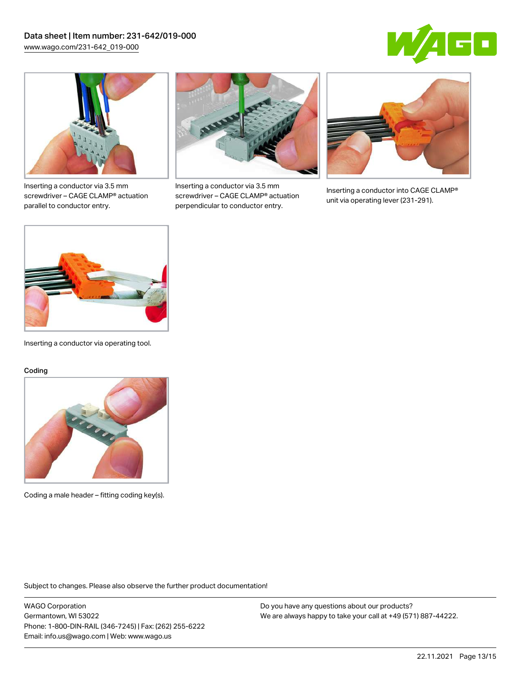



Inserting a conductor via 3.5 mm screwdriver – CAGE CLAMP® actuation parallel to conductor entry.



Inserting a conductor via 3.5 mm screwdriver – CAGE CLAMP® actuation perpendicular to conductor entry.



Inserting a conductor into CAGE CLAMP® unit via operating lever (231-291).



Inserting a conductor via operating tool.

#### Coding



Coding a male header – fitting coding key(s).

Subject to changes. Please also observe the further product documentation!

WAGO Corporation Germantown, WI 53022 Phone: 1-800-DIN-RAIL (346-7245) | Fax: (262) 255-6222 Email: info.us@wago.com | Web: www.wago.us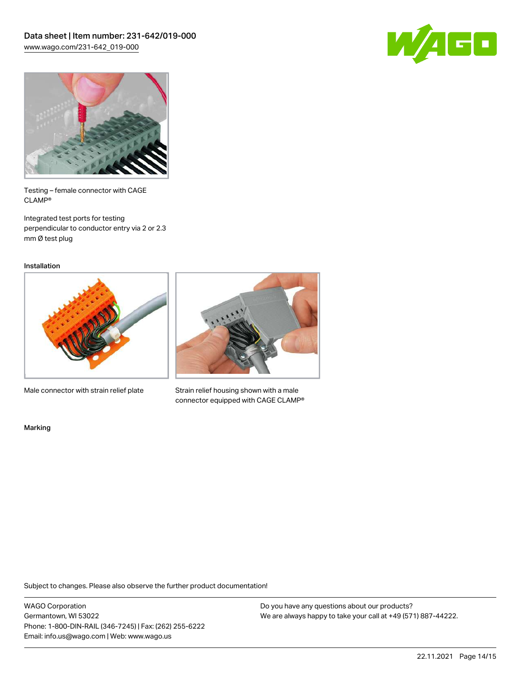



Testing – female connector with CAGE CLAMP®

Integrated test ports for testing perpendicular to conductor entry via 2 or 2.3 mm Ø test plug

Installation



Male connector with strain relief plate



Strain relief housing shown with a male connector equipped with CAGE CLAMP®

Marking

Subject to changes. Please also observe the further product documentation!

WAGO Corporation Germantown, WI 53022 Phone: 1-800-DIN-RAIL (346-7245) | Fax: (262) 255-6222 Email: info.us@wago.com | Web: www.wago.us